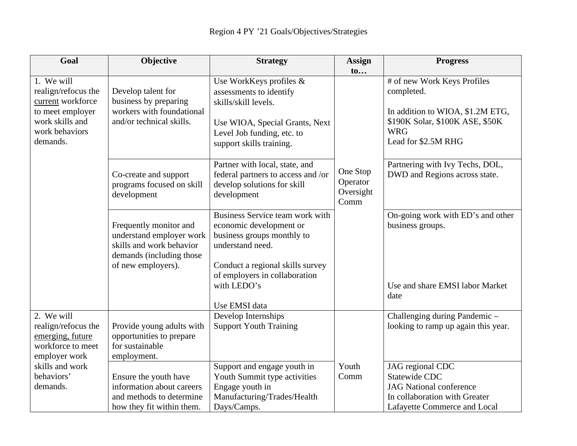| Goal                                                                                                                                     | Objective                                                                                                                        | <b>Strategy</b>                                                                                                                                                                                                   | <b>Assign</b>                             | <b>Progress</b>                                                                                                                                       |
|------------------------------------------------------------------------------------------------------------------------------------------|----------------------------------------------------------------------------------------------------------------------------------|-------------------------------------------------------------------------------------------------------------------------------------------------------------------------------------------------------------------|-------------------------------------------|-------------------------------------------------------------------------------------------------------------------------------------------------------|
|                                                                                                                                          |                                                                                                                                  |                                                                                                                                                                                                                   | to                                        |                                                                                                                                                       |
| 1. We will<br>realign/refocus the<br>current workforce<br>to meet employer<br>work skills and<br>work behaviors<br>demands.              | Develop talent for<br>business by preparing<br>workers with foundational<br>and/or technical skills.                             | Use WorkKeys profiles &<br>assessments to identify<br>skills/skill levels.<br>Use WIOA, Special Grants, Next<br>Level Job funding, etc. to<br>support skills training.                                            |                                           | # of new Work Keys Profiles<br>completed.<br>In addition to WIOA, \$1.2M ETG,<br>\$190K Solar, \$100K ASE, \$50K<br><b>WRG</b><br>Lead for \$2.5M RHG |
|                                                                                                                                          | Co-create and support<br>programs focused on skill<br>development                                                                | Partner with local, state, and<br>federal partners to access and /or<br>develop solutions for skill<br>development                                                                                                | One Stop<br>Operator<br>Oversight<br>Comm | Partnering with Ivy Techs, DOL,<br>DWD and Regions across state.                                                                                      |
|                                                                                                                                          | Frequently monitor and<br>understand employer work<br>skills and work behavior<br>demands (including those<br>of new employers). | Business Service team work with<br>economic development or<br>business groups monthly to<br>understand need.<br>Conduct a regional skills survey<br>of employers in collaboration<br>with LEDO's<br>Use EMSI data |                                           | On-going work with ED's and other<br>business groups.<br>Use and share EMSI labor Market<br>date                                                      |
| 2. We will<br>realign/refocus the<br>emerging, future<br>workforce to meet<br>employer work<br>skills and work<br>behaviors'<br>demands. | Provide young adults with<br>opportunities to prepare<br>for sustainable<br>employment.                                          | Develop Internships<br><b>Support Youth Training</b>                                                                                                                                                              |                                           | Challenging during Pandemic-<br>looking to ramp up again this year.                                                                                   |
|                                                                                                                                          | Ensure the youth have<br>information about careers<br>and methods to determine<br>how they fit within them.                      | Support and engage youth in<br>Youth Summit type activities<br>Engage youth in<br>Manufacturing/Trades/Health<br>Days/Camps.                                                                                      | Youth<br>Comm                             | JAG regional CDC<br><b>Statewide CDC</b><br><b>JAG</b> National conference<br>In collaboration with Greater<br>Lafayette Commerce and Local           |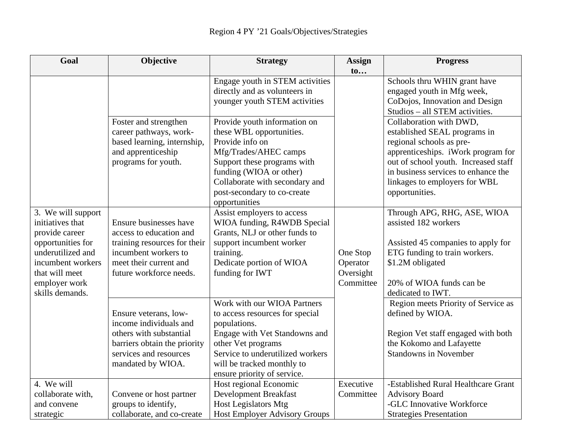| Goal               | Objective                    | <b>Strategy</b>                      | <b>Assign</b> | <b>Progress</b>                      |
|--------------------|------------------------------|--------------------------------------|---------------|--------------------------------------|
|                    |                              |                                      | $\mathbf{t}$  |                                      |
|                    |                              | Engage youth in STEM activities      |               | Schools thru WHIN grant have         |
|                    |                              | directly and as volunteers in        |               | engaged youth in Mfg week,           |
|                    |                              | younger youth STEM activities        |               | CoDojos, Innovation and Design       |
|                    |                              |                                      |               | Studios - all STEM activities.       |
|                    | Foster and strengthen        | Provide youth information on         |               | Collaboration with DWD,              |
|                    | career pathways, work-       | these WBL opportunities.             |               | established SEAL programs in         |
|                    | based learning, internship,  | Provide info on                      |               | regional schools as pre-             |
|                    | and apprenticeship           | Mfg/Trades/AHEC camps                |               | apprenticeships. iWork program for   |
|                    | programs for youth.          | Support these programs with          |               | out of school youth. Increased staff |
|                    |                              | funding (WIOA or other)              |               | in business services to enhance the  |
|                    |                              | Collaborate with secondary and       |               | linkages to employers for WBL        |
|                    |                              | post-secondary to co-create          |               | opportunities.                       |
|                    |                              | opportunities                        |               |                                      |
| 3. We will support |                              | Assist employers to access           |               | Through APG, RHG, ASE, WIOA          |
| initiatives that   | Ensure businesses have       | WIOA funding, R4WDB Special          |               | assisted 182 workers                 |
| provide career     | access to education and      | Grants, NLJ or other funds to        |               |                                      |
| opportunities for  | training resources for their | support incumbent worker             |               | Assisted 45 companies to apply for   |
| underutilized and  | incumbent workers to         | training.                            | One Stop      | ETG funding to train workers.        |
| incumbent workers  | meet their current and       | Dedicate portion of WIOA             | Operator      | \$1.2M obligated                     |
| that will meet     | future workforce needs.      | funding for IWT                      | Oversight     |                                      |
| employer work      |                              |                                      | Committee     | 20% of WIOA funds can be             |
| skills demands.    |                              |                                      |               | dedicated to IWT.                    |
|                    |                              | Work with our WIOA Partners          |               | Region meets Priority of Service as  |
|                    | Ensure veterans, low-        | to access resources for special      |               | defined by WIOA.                     |
|                    | income individuals and       | populations.                         |               |                                      |
|                    | others with substantial      | Engage with Vet Standowns and        |               | Region Vet staff engaged with both   |
|                    | barriers obtain the priority | other Vet programs                   |               | the Kokomo and Lafayette             |
|                    | services and resources       | Service to underutilized workers     |               | <b>Standowns in November</b>         |
|                    | mandated by WIOA.            | will be tracked monthly to           |               |                                      |
|                    |                              | ensure priority of service.          |               |                                      |
| 4. We will         |                              | Host regional Economic               | Executive     | -Established Rural Healthcare Grant  |
| collaborate with,  | Convene or host partner      | <b>Development Breakfast</b>         | Committee     | <b>Advisory Board</b>                |
| and convene        | groups to identify,          | <b>Host Legislators Mtg</b>          |               | -GLC Innovative Workforce            |
| strategic          | collaborate, and co-create   | <b>Host Employer Advisory Groups</b> |               | <b>Strategies Presentation</b>       |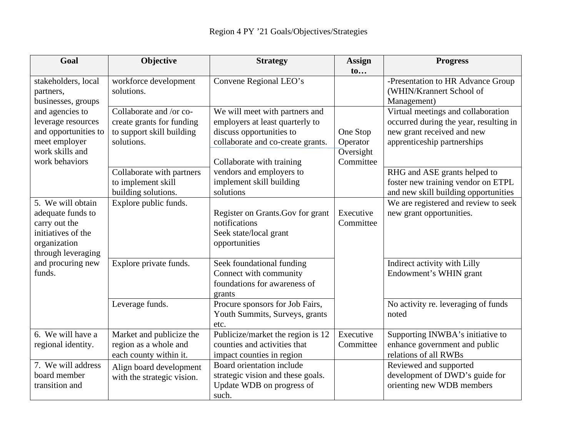| Goal                                                                                                                                                                          | Objective                                                                                       | <b>Strategy</b>                                                                                                                                                                                                                      | <b>Assign</b>                                  | <b>Progress</b>                                                                                                                           |
|-------------------------------------------------------------------------------------------------------------------------------------------------------------------------------|-------------------------------------------------------------------------------------------------|--------------------------------------------------------------------------------------------------------------------------------------------------------------------------------------------------------------------------------------|------------------------------------------------|-------------------------------------------------------------------------------------------------------------------------------------------|
|                                                                                                                                                                               |                                                                                                 |                                                                                                                                                                                                                                      | $\mathbf{t}$                                   |                                                                                                                                           |
| stakeholders, local<br>partners,<br>businesses, groups<br>and agencies to<br>leverage resources<br>and opportunities to<br>meet employer<br>work skills and<br>work behaviors | workforce development<br>solutions.                                                             | Convene Regional LEO's                                                                                                                                                                                                               |                                                | -Presentation to HR Advance Group<br>(WHIN/Krannert School of<br>Management)                                                              |
|                                                                                                                                                                               | Collaborate and /or co-<br>create grants for funding<br>to support skill building<br>solutions. | We will meet with partners and<br>employers at least quarterly to<br>discuss opportunities to<br>collaborate and co-create grants.<br>Collaborate with training<br>vendors and employers to<br>implement skill building<br>solutions | One Stop<br>Operator<br>Oversight<br>Committee | Virtual meetings and collaboration<br>occurred during the year, resulting in<br>new grant received and new<br>apprenticeship partnerships |
|                                                                                                                                                                               | Collaborate with partners<br>to implement skill<br>building solutions.                          |                                                                                                                                                                                                                                      |                                                | RHG and ASE grants helped to<br>foster new training vendor on ETPL<br>and new skill building opportunities                                |
| 5. We will obtain<br>adequate funds to<br>carry out the<br>initiatives of the<br>organization<br>through leveraging                                                           | Explore public funds.                                                                           | Register on Grants. Gov for grant<br>notifications<br>Seek state/local grant<br>opportunities                                                                                                                                        | Executive<br>Committee                         | We are registered and review to seek<br>new grant opportunities.                                                                          |
| and procuring new<br>funds.                                                                                                                                                   | Explore private funds.                                                                          | Seek foundational funding<br>Connect with community<br>foundations for awareness of<br>grants                                                                                                                                        |                                                | Indirect activity with Lilly<br>Endowment's WHIN grant                                                                                    |
|                                                                                                                                                                               | Leverage funds.                                                                                 | Procure sponsors for Job Fairs,<br>Youth Summits, Surveys, grants<br>etc.                                                                                                                                                            |                                                | No activity re. leveraging of funds<br>noted                                                                                              |
| 6. We will have a<br>regional identity.                                                                                                                                       | Market and publicize the<br>region as a whole and<br>each county within it.                     | Publicize/market the region is 12<br>counties and activities that<br>impact counties in region                                                                                                                                       | Executive<br>Committee                         | Supporting INWBA's initiative to<br>enhance government and public<br>relations of all RWBs                                                |
| 7. We will address<br>board member<br>transition and                                                                                                                          | Align board development<br>with the strategic vision.                                           | Board orientation include<br>strategic vision and these goals.<br>Update WDB on progress of<br>such.                                                                                                                                 |                                                | Reviewed and supported<br>development of DWD's guide for<br>orienting new WDB members                                                     |